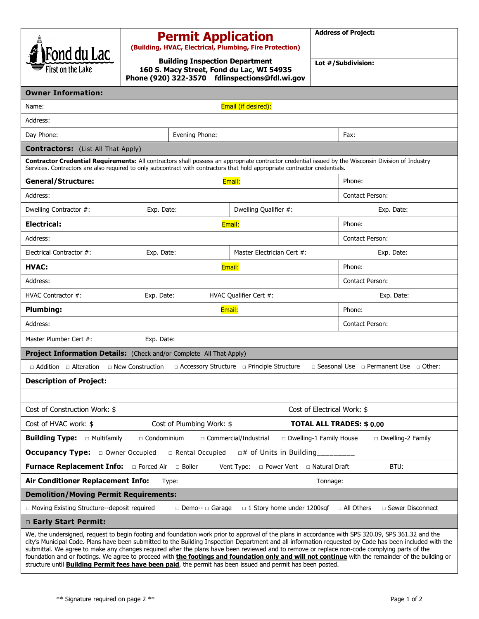| Fond du Lac                                                                                                                                                                                                                                                                                                                                                                                                                                                   | <b>Permit Application</b><br>(Building, HVAC, Electrical, Plumbing, Fire Protection)                                                 |        |                                                       |                    | <b>Address of Project:</b>                             |  |  |
|---------------------------------------------------------------------------------------------------------------------------------------------------------------------------------------------------------------------------------------------------------------------------------------------------------------------------------------------------------------------------------------------------------------------------------------------------------------|--------------------------------------------------------------------------------------------------------------------------------------|--------|-------------------------------------------------------|--------------------|--------------------------------------------------------|--|--|
| First on the Lake                                                                                                                                                                                                                                                                                                                                                                                                                                             | <b>Building Inspection Department</b><br>160 S. Macy Street, Fond du Lac, WI 54935<br>Phone (920) 322-3570 fdlinspections@fdl.wi.gov |        |                                                       | Lot #/Subdivision: |                                                        |  |  |
| <b>Owner Information:</b>                                                                                                                                                                                                                                                                                                                                                                                                                                     |                                                                                                                                      |        |                                                       |                    |                                                        |  |  |
| Email (if desired):<br>Name:                                                                                                                                                                                                                                                                                                                                                                                                                                  |                                                                                                                                      |        |                                                       |                    |                                                        |  |  |
| Address:                                                                                                                                                                                                                                                                                                                                                                                                                                                      |                                                                                                                                      |        |                                                       |                    |                                                        |  |  |
| Day Phone:                                                                                                                                                                                                                                                                                                                                                                                                                                                    | Evening Phone:                                                                                                                       |        |                                                       |                    | Fax:                                                   |  |  |
| <b>Contractors:</b> (List All That Apply)                                                                                                                                                                                                                                                                                                                                                                                                                     |                                                                                                                                      |        |                                                       |                    |                                                        |  |  |
| Contractor Credential Requirements: All contractors shall possess an appropriate contractor credential issued by the Wisconsin Division of Industry<br>Services. Contractors are also required to only subcontract with contractors that hold appropriate contractor credentials.                                                                                                                                                                             |                                                                                                                                      |        |                                                       |                    |                                                        |  |  |
| <b>General/Structure:</b>                                                                                                                                                                                                                                                                                                                                                                                                                                     |                                                                                                                                      | Email: |                                                       | Phone:             |                                                        |  |  |
| Address:                                                                                                                                                                                                                                                                                                                                                                                                                                                      |                                                                                                                                      |        |                                                       |                    | <b>Contact Person:</b>                                 |  |  |
| Dwelling Contractor #:                                                                                                                                                                                                                                                                                                                                                                                                                                        | Exp. Date:                                                                                                                           |        | Dwelling Qualifier #:                                 |                    | Exp. Date:                                             |  |  |
| <b>Electrical:</b><br>Email:                                                                                                                                                                                                                                                                                                                                                                                                                                  |                                                                                                                                      |        |                                                       |                    | Phone:                                                 |  |  |
| Address:                                                                                                                                                                                                                                                                                                                                                                                                                                                      |                                                                                                                                      |        |                                                       |                    |                                                        |  |  |
| Electrical Contractor #:                                                                                                                                                                                                                                                                                                                                                                                                                                      | Exp. Date:                                                                                                                           |        | Master Electrician Cert #:                            |                    | Exp. Date:                                             |  |  |
| HVAC:<br>Email:                                                                                                                                                                                                                                                                                                                                                                                                                                               |                                                                                                                                      |        |                                                       |                    | Phone:                                                 |  |  |
| Address:<br>Contact Person:                                                                                                                                                                                                                                                                                                                                                                                                                                   |                                                                                                                                      |        |                                                       |                    |                                                        |  |  |
| HVAC Contractor #:                                                                                                                                                                                                                                                                                                                                                                                                                                            | HVAC Qualifier Cert #:<br>Exp. Date:                                                                                                 |        |                                                       |                    | Exp. Date:                                             |  |  |
| <b>Plumbing:</b>                                                                                                                                                                                                                                                                                                                                                                                                                                              | Email:                                                                                                                               |        |                                                       |                    | Phone:                                                 |  |  |
| Address:                                                                                                                                                                                                                                                                                                                                                                                                                                                      |                                                                                                                                      |        |                                                       |                    | Contact Person:                                        |  |  |
| Master Plumber Cert #:<br>Exp. Date:                                                                                                                                                                                                                                                                                                                                                                                                                          |                                                                                                                                      |        |                                                       |                    |                                                        |  |  |
| Project Information Details: (Check and/or Complete All That Apply)                                                                                                                                                                                                                                                                                                                                                                                           |                                                                                                                                      |        |                                                       |                    |                                                        |  |  |
| □ Addition □ Alteration □ New Construction                                                                                                                                                                                                                                                                                                                                                                                                                    |                                                                                                                                      |        | $\Box$ Accessory Structure $\Box$ Principle Structure |                    | $\Box$ Seasonal Use $\Box$ Permanent Use $\Box$ Other: |  |  |
| <b>Description of Project:</b>                                                                                                                                                                                                                                                                                                                                                                                                                                |                                                                                                                                      |        |                                                       |                    |                                                        |  |  |
|                                                                                                                                                                                                                                                                                                                                                                                                                                                               |                                                                                                                                      |        |                                                       |                    |                                                        |  |  |
| Cost of Construction Work: \$<br>Cost of Electrical Work: \$                                                                                                                                                                                                                                                                                                                                                                                                  |                                                                                                                                      |        |                                                       |                    |                                                        |  |  |
| Cost of HVAC work: \$<br>Cost of Plumbing Work: \$<br><b>TOTAL ALL TRADES: \$0.00</b>                                                                                                                                                                                                                                                                                                                                                                         |                                                                                                                                      |        |                                                       |                    |                                                        |  |  |
| <b>Building Type:</b> $\Box$ Multifamily<br>□ Commercial/Industrial<br>Dwelling-1 Family House<br>$\Box$ Condominium<br>$\Box$ Dwelling-2 Family                                                                                                                                                                                                                                                                                                              |                                                                                                                                      |        |                                                       |                    |                                                        |  |  |
| <b>Occupancy Type:</b><br>$\Box$ # of Units in Building<br>□ Owner Occupied<br>□ Rental Occupied                                                                                                                                                                                                                                                                                                                                                              |                                                                                                                                      |        |                                                       |                    |                                                        |  |  |
| <b>Furnace Replacement Info:</b><br>BTU:<br>□ Forced Air<br>□ Boiler<br>□ Power Vent □ Natural Draft<br>Vent Type:                                                                                                                                                                                                                                                                                                                                            |                                                                                                                                      |        |                                                       |                    |                                                        |  |  |
| Air Conditioner Replacement Info:<br>Type:<br>Tonnage:                                                                                                                                                                                                                                                                                                                                                                                                        |                                                                                                                                      |        |                                                       |                    |                                                        |  |  |
| <b>Demolition/Moving Permit Requirements:</b>                                                                                                                                                                                                                                                                                                                                                                                                                 |                                                                                                                                      |        |                                                       |                    |                                                        |  |  |
| □ Sewer Disconnect<br>□ Moving Existing Structure--deposit required<br>$\Box$ 1 Story home under 1200sqf<br>□ All Others<br>□ Demo-- □ Garage                                                                                                                                                                                                                                                                                                                 |                                                                                                                                      |        |                                                       |                    |                                                        |  |  |
| <b>Early Start Permit:</b>                                                                                                                                                                                                                                                                                                                                                                                                                                    |                                                                                                                                      |        |                                                       |                    |                                                        |  |  |
| We, the undersigned, request to begin footing and foundation work prior to approval of the plans in accordance with SPS 320.09, SPS 361.32 and the<br>city's Municipal Code. Plans have been submitted to the Building Inspection Department and all information requested by Code has been included with the<br>submittal. We agree to make any changes required after the plans have been reviewed and to remove or replace non-code complying parts of the |                                                                                                                                      |        |                                                       |                    |                                                        |  |  |

foundation and or footings. We agree to proceed with **the footings and foundation only and will not continue** with the remainder of the building or

\*\* Signature required on page 2 \*\* Page 1 of 2

structure until **Building Permit fees have been paid**, the permit has been issued and permit has been posted.